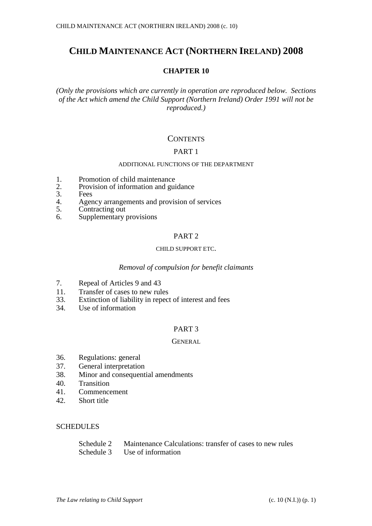# **CHILD MAINTENANCE ACT (NORTHERN IRELAND) 2008**

### **CHAPTER 10**

*(Only the provisions which are currently in operation are reproduced below. Sections of the Act which amend the Child Support (Northern Ireland) Order 1991 will not be reproduced.)*

### **CONTENTS**

#### PART 1

### ADDITIONAL FUNCTIONS OF THE DEPARTMENT

- 1. Promotion of child maintenance<br>2. Provision of information and gui
- 2. Provision of information and guidance<br>3. Fees
- 3. Fees<br>4. Ager
- 4. Agency arrangements and provision of services<br>5. Contracting out
- 
- 5. Contracting out 6. Supplementary Supplementary provisions

### PART 2

#### CHILD SUPPORT ETC.

#### *Removal of compulsion for benefit claimants*

- 7. Repeal of Articles 9 and 43
- 11. Transfer of cases to new rules
- 33. Extinction of liability in repect of interest and fees
- 34. Use of information

#### PART 3

#### **GENERAL**

- 36. Regulations: general
- 37. General interpretation
- 38. Minor and consequential amendments
- 40. Transition
- 41. Commencement
- 42. Short title

#### **SCHEDULES**

| Schedule 2 | Maintenance Calculations: transfer of cases to new rules |
|------------|----------------------------------------------------------|
| Schedule 3 | Use of information                                       |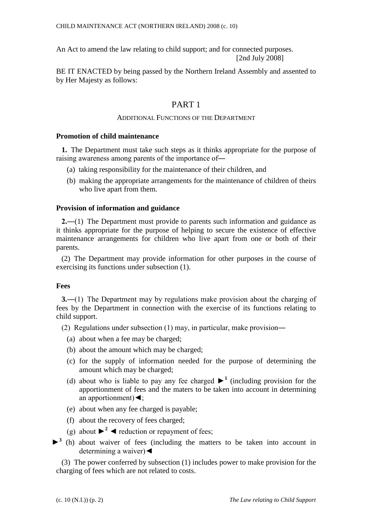An Act to amend the law relating to child support; and for connected purposes. [2nd July 2008]

BE IT ENACTED by being passed by the Northern Ireland Assembly and assented to by Her Majesty as follows:

## PART 1

#### ADDITIONAL FUNCTIONS OF THE DEPARTMENT

#### **Promotion of child maintenance**

**1.** The Department must take such steps as it thinks appropriate for the purpose of raising awareness among parents of the importance of―

- (a) taking responsibility for the maintenance of their children, and
- (b) making the appropriate arrangements for the maintenance of children of theirs who live apart from them.

#### **Provision of information and guidance**

**2.―**(1) The Department must provide to parents such information and guidance as it thinks appropriate for the purpose of helping to secure the existence of effective maintenance arrangements for children who live apart from one or both of their parents.

(2) The Department may provide information for other purposes in the course of exercising its functions under subsection (1).

#### **Fees**

**3.**―(1) The Department may by regulations make provision about the charging of fees by the Department in connection with the exercise of its functions relating to child support.

(2) Regulations under subsection (1) may, in particular, make provision―

- (a) about when a fee may be charged;
- (b) about the amount which may be charged;
- (c) for the supply of information needed for the purpose of determining the amount which may be charged;
- (d) about who is liable to pay any fee charged  $\blacktriangleright$ <sup>1</sup> (including provision for the apportionment of fees and the maters to be taken into account in determining an apportionment)◄;
- (e) about when any fee charged is payable;
- (f) about the recovery of fees charged;
- (g) about  $\blacktriangleright^2$  < reduction or repayment of fees;
- ►**<sup>3</sup>** (h) about waiver of fees (including the matters to be taken into account in determining a waiver) <

(3) The power conferred by subsection (1) includes power to make provision for the charging of fees which are not related to costs.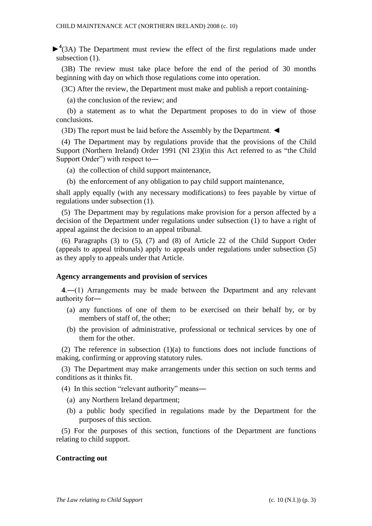►**<sup>4</sup>** (3A) The Department must review the effect of the first regulations made under subsection (1).

(3B) The review must take place before the end of the period of 30 months beginning with day on which those regulations come into operation.

(3C) After the review, the Department must make and publish a report containing-

(a) the conclusion of the review; and

(b) a statement as to what the Department proposes to do in view of those conclusions.

(3D) The report must be laid before the Assembly by the Department. ◄

(4) The Department may by regulations provide that the provisions of the Child Support (Northern Ireland) Order 1991 (NI 23)(in this Act referred to as "the Child Support Order") with respect to―

- (a) the collection of child support maintenance,
- (b) the enforcement of any obligation to pay child support maintenance,

shall apply equally (with any necessary modifications) to fees payable by virtue of regulations under subsection (1).

(5) The Department may by regulations make provision for a person affected by a decision of the Department under regulations under subsection (1) to have a right of appeal against the decision to an appeal tribunal.

(6) Paragraphs (3) to (5), (7) and (8) of Article 22 of the Child Support Order (appeals to appeal tribunals) apply to appeals under regulations under subsection (5) as they apply to appeals under that Article.

#### **Agency arrangements and provision of services**

**4**.―(1) Arrangements may be made between the Department and any relevant authority for―

- (a) any functions of one of them to be exercised on their behalf by, or by members of staff of, the other;
- (b) the provision of administrative, professional or technical services by one of them for the other.

(2) The reference in subsection (1)(a) to functions does not include functions of making, confirming or approving statutory rules.

(3) The Department may make arrangements under this section on such terms and conditions as it thinks fit.

- (4) In this section "relevant authority" means―
	- (a) any Northern Ireland department;
	- (b) a public body specified in regulations made by the Department for the purposes of this section.

(5) For the purposes of this section, functions of the Department are functions relating to child support.

#### **Contracting out**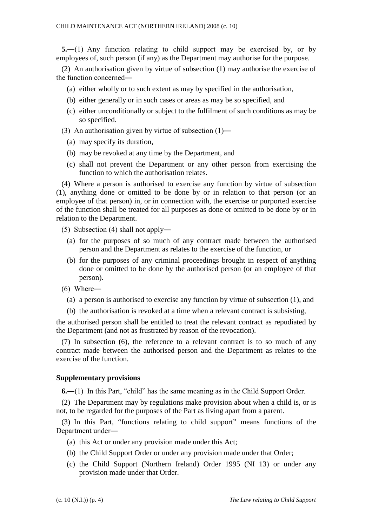**5.**―(1) Any function relating to child support may be exercised by, or by employees of, such person (if any) as the Department may authorise for the purpose.

(2) An authorisation given by virtue of subsection (1) may authorise the exercise of the function concerned―

- (a) either wholly or to such extent as may by specified in the authorisation,
- (b) either generally or in such cases or areas as may be so specified, and
- (c) either unconditionally or subject to the fulfilment of such conditions as may be so specified.
- (3) An authorisation given by virtue of subsection (1)―
	- (a) may specify its duration,
	- (b) may be revoked at any time by the Department, and
	- (c) shall not prevent the Department or any other person from exercising the function to which the authorisation relates.

(4) Where a person is authorised to exercise any function by virtue of subsection (1), anything done or omitted to be done by or in relation to that person (or an employee of that person) in, or in connection with, the exercise or purported exercise of the function shall be treated for all purposes as done or omitted to be done by or in relation to the Department.

- (5) Subsection (4) shall not apply―
	- (a) for the purposes of so much of any contract made between the authorised person and the Department as relates to the exercise of the function, or
	- (b) for the purposes of any criminal proceedings brought in respect of anything done or omitted to be done by the authorised person (or an employee of that person).
- (6) Where―
	- (a) a person is authorised to exercise any function by virtue of subsection (1), and
	- (b) the authorisation is revoked at a time when a relevant contract is subsisting,

the authorised person shall be entitled to treat the relevant contract as repudiated by the Department (and not as frustrated by reason of the revocation).

(7) In subsection (6), the reference to a relevant contract is to so much of any contract made between the authorised person and the Department as relates to the exercise of the function.

#### **Supplementary provisions**

**6.**―(1) In this Part, "child" has the same meaning as in the Child Support Order.

(2) The Department may by regulations make provision about when a child is, or is not, to be regarded for the purposes of the Part as living apart from a parent.

(3) In this Part, "functions relating to child support" means functions of the Department under―

- (a) this Act or under any provision made under this Act;
- (b) the Child Support Order or under any provision made under that Order;
- (c) the Child Support (Northern Ireland) Order 1995 (NI 13) or under any provision made under that Order.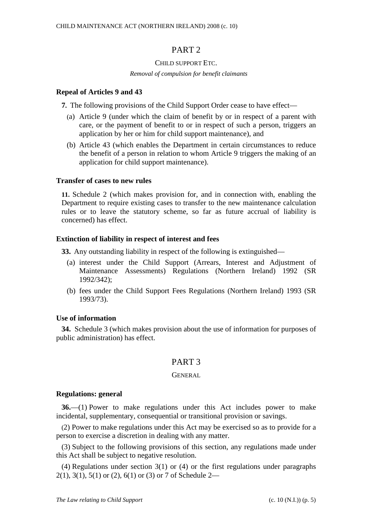### PART 2

#### CHILD SUPPORT ETC.

#### *Removal of compulsion for benefit claimants*

#### **Repeal of Articles 9 and 43**

**7.** The following provisions of the Child Support Order cease to have effect—

- (a) Article 9 (under which the claim of benefit by or in respect of a parent with care, or the payment of benefit to or in respect of such a person, triggers an application by her or him for child support maintenance), and
- (b) Article 43 (which enables the Department in certain circumstances to reduce the benefit of a person in relation to whom Article 9 triggers the making of an application for child support maintenance).

#### **Transfer of cases to new rules**

**11.** Schedule 2 (which makes provision for, and in connection with, enabling the Department to require existing cases to transfer to the new maintenance calculation rules or to leave the statutory scheme, so far as future accrual of liability is concerned) has effect.

#### **Extinction of liability in respect of interest and fees**

**33.** Any outstanding liability in respect of the following is extinguished—

- (a) interest under the Child Support (Arrears, Interest and Adjustment of Maintenance Assessments) Regulations (Northern Ireland) 1992 (SR 1992/342);
- (b) fees under the Child Support Fees Regulations (Northern Ireland) 1993 (SR 1993/73).

#### **Use of information**

**34.** Schedule 3 (which makes provision about the use of information for purposes of public administration) has effect.

### PART 3

#### GENERAL

#### **Regulations: general**

**36.**—(1) Power to make regulations under this Act includes power to make incidental, supplementary, consequential or transitional provision or savings.

(2) Power to make regulations under this Act may be exercised so as to provide for a person to exercise a discretion in dealing with any matter.

(3) Subject to the following provisions of this section, any regulations made under this Act shall be subject to negative resolution.

(4) Regulations under section 3(1) or (4) or the first regulations under paragraphs 2(1), 3(1), 5(1) or (2), 6(1) or (3) or 7 of Schedule 2—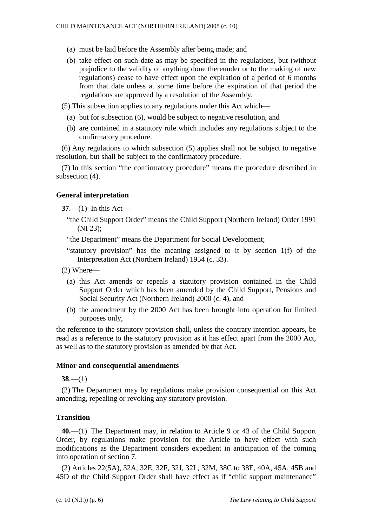- (a) must be laid before the Assembly after being made; and
- (b) take effect on such date as may be specified in the regulations, but (without prejudice to the validity of anything done thereunder or to the making of new regulations) cease to have effect upon the expiration of a period of 6 months from that date unless at some time before the expiration of that period the regulations are approved by a resolution of the Assembly.
- (5) This subsection applies to any regulations under this Act which—
	- (a) but for subsection (6), would be subject to negative resolution, and
	- (b) are contained in a statutory rule which includes any regulations subject to the confirmatory procedure.

(6) Any regulations to which subsection (5) applies shall not be subject to negative resolution, but shall be subject to the confirmatory procedure.

(7) In this section "the confirmatory procedure" means the procedure described in subsection (4).

### **General interpretation**

**37**.—(1) In this Act—

"the Child Support Order" means the Child Support (Northern Ireland) Order 1991 (NI 23);

"the Department" means the Department for Social Development;

- "statutory provision" has the meaning assigned to it by section 1(f) of the Interpretation Act (Northern Ireland) 1954 (c. 33).
- (2) Where—
	- (a) this Act amends or repeals a statutory provision contained in the Child Support Order which has been amended by the Child Support, Pensions and Social Security Act (Northern Ireland) 2000 (c. 4), and
	- (b) the amendment by the 2000 Act has been brought into operation for limited purposes only,

the reference to the statutory provision shall, unless the contrary intention appears, be read as a reference to the statutory provision as it has effect apart from the 2000 Act, as well as to the statutory provision as amended by that Act.

#### **Minor and consequential amendments**

**38**.—(1)

(2) The Department may by regulations make provision consequential on this Act amending, repealing or revoking any statutory provision.

#### **Transition**

**40.**—(1) The Department may, in relation to Article 9 or 43 of the Child Support Order, by regulations make provision for the Article to have effect with such modifications as the Department considers expedient in anticipation of the coming into operation of section 7.

(2) Articles 22(5A), 32A, 32E, 32F, 32J, 32L, 32M, 38C to 38E, 40A, 45A, 45B and 45D of the Child Support Order shall have effect as if "child support maintenance"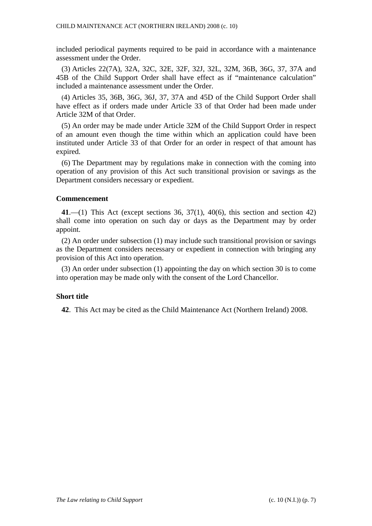included periodical payments required to be paid in accordance with a maintenance assessment under the Order.

(3) Articles 22(7A), 32A, 32C, 32E, 32F, 32J, 32L, 32M, 36B, 36G, 37, 37A and 45B of the Child Support Order shall have effect as if "maintenance calculation" included a maintenance assessment under the Order.

(4) Articles 35, 36B, 36G, 36J, 37, 37A and 45D of the Child Support Order shall have effect as if orders made under Article 33 of that Order had been made under Article 32M of that Order.

(5) An order may be made under Article 32M of the Child Support Order in respect of an amount even though the time within which an application could have been instituted under Article 33 of that Order for an order in respect of that amount has expired.

(6) The Department may by regulations make in connection with the coming into operation of any provision of this Act such transitional provision or savings as the Department considers necessary or expedient.

#### **Commencement**

**41**.—(1) This Act (except sections 36, 37(1), 40(6), this section and section 42) shall come into operation on such day or days as the Department may by order appoint.

(2) An order under subsection (1) may include such transitional provision or savings as the Department considers necessary or expedient in connection with bringing any provision of this Act into operation.

(3) An order under subsection (1) appointing the day on which section 30 is to come into operation may be made only with the consent of the Lord Chancellor.

#### **Short title**

**42**. This Act may be cited as the Child Maintenance Act (Northern Ireland) 2008.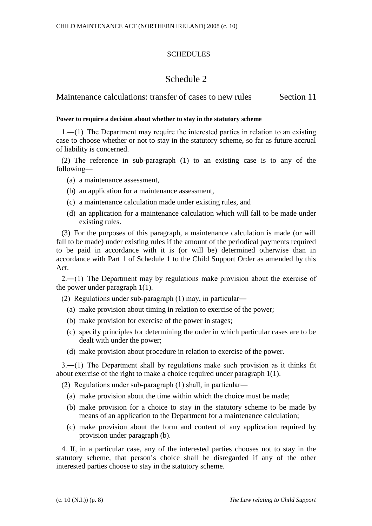### **SCHEDULES**

## Schedule 2

Maintenance calculations: transfer of cases to new rules Section 11

#### **Power to require a decision about whether to stay in the statutory scheme**

1.―(1) The Department may require the interested parties in relation to an existing case to choose whether or not to stay in the statutory scheme, so far as future accrual of liability is concerned.

(2) The reference in sub-paragraph (1) to an existing case is to any of the following―

- (a) a maintenance assessment,
- (b) an application for a maintenance assessment,
- (c) a maintenance calculation made under existing rules, and
- (d) an application for a maintenance calculation which will fall to be made under existing rules.

(3) For the purposes of this paragraph, a maintenance calculation is made (or will fall to be made) under existing rules if the amount of the periodical payments required to be paid in accordance with it is (or will be) determined otherwise than in accordance with Part 1 of Schedule 1 to the Child Support Order as amended by this Act.

2.―(1) The Department may by regulations make provision about the exercise of the power under paragraph 1(1).

(2) Regulations under sub-paragraph (1) may, in particular―

- (a) make provision about timing in relation to exercise of the power;
- (b) make provision for exercise of the power in stages;
- (c) specify principles for determining the order in which particular cases are to be dealt with under the power;
- (d) make provision about procedure in relation to exercise of the power.

3.―(1) The Department shall by regulations make such provision as it thinks fit about exercise of the right to make a choice required under paragraph 1(1).

(2) Regulations under sub-paragraph (1) shall, in particular―

- (a) make provision about the time within which the choice must be made;
- (b) make provision for a choice to stay in the statutory scheme to be made by means of an application to the Department for a maintenance calculation;
- (c) make provision about the form and content of any application required by provision under paragraph (b).

4. If, in a particular case, any of the interested parties chooses not to stay in the statutory scheme, that person's choice shall be disregarded if any of the other interested parties choose to stay in the statutory scheme.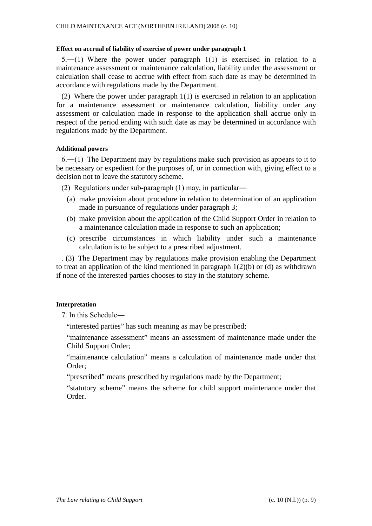#### **Effect on accrual of liability of exercise of power under paragraph 1**

 $5.$ —(1) Where the power under paragraph  $1(1)$  is exercised in relation to a maintenance assessment or maintenance calculation, liability under the assessment or calculation shall cease to accrue with effect from such date as may be determined in accordance with regulations made by the Department.

(2) Where the power under paragraph 1(1) is exercised in relation to an application for a maintenance assessment or maintenance calculation, liability under any assessment or calculation made in response to the application shall accrue only in respect of the period ending with such date as may be determined in accordance with regulations made by the Department.

#### **Additional powers**

6.―(1) The Department may by regulations make such provision as appears to it to be necessary or expedient for the purposes of, or in connection with, giving effect to a decision not to leave the statutory scheme.

(2) Regulations under sub-paragraph (1) may, in particular―

- (a) make provision about procedure in relation to determination of an application made in pursuance of regulations under paragraph 3;
- (b) make provision about the application of the Child Support Order in relation to a maintenance calculation made in response to such an application;
- (c) prescribe circumstances in which liability under such a maintenance calculation is to be subject to a prescribed adjustment.

. (3) The Department may by regulations make provision enabling the Department to treat an application of the kind mentioned in paragraph 1(2)(b) or (d) as withdrawn if none of the interested parties chooses to stay in the statutory scheme.

#### **Interpretation**

7. In this Schedule―

"interested parties" has such meaning as may be prescribed;

"maintenance assessment" means an assessment of maintenance made under the Child Support Order;

"maintenance calculation" means a calculation of maintenance made under that Order;

"prescribed" means prescribed by regulations made by the Department;

"statutory scheme" means the scheme for child support maintenance under that Order.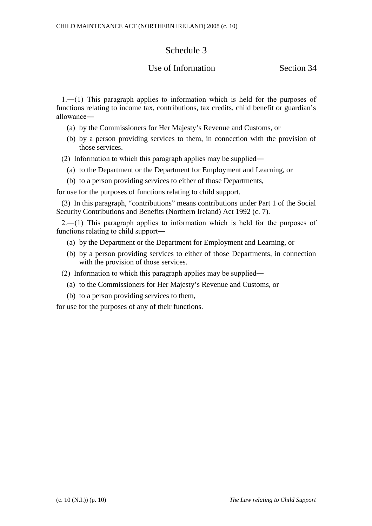# Schedule 3

## Use of Information Section 34

1.―(1) This paragraph applies to information which is held for the purposes of functions relating to income tax, contributions, tax credits, child benefit or guardian's allowance―

- (a) by the Commissioners for Her Majesty's Revenue and Customs, or
- (b) by a person providing services to them, in connection with the provision of those services.
- (2) Information to which this paragraph applies may be supplied―
	- (a) to the Department or the Department for Employment and Learning, or
	- (b) to a person providing services to either of those Departments,

for use for the purposes of functions relating to child support.

(3) In this paragraph, "contributions" means contributions under Part 1 of the Social Security Contributions and Benefits (Northern Ireland) Act 1992 (c. 7).

2.―(1) This paragraph applies to information which is held for the purposes of functions relating to child support―

- (a) by the Department or the Department for Employment and Learning, or
- (b) by a person providing services to either of those Departments, in connection with the provision of those services.

(2) Information to which this paragraph applies may be supplied―

- (a) to the Commissioners for Her Majesty's Revenue and Customs, or
- (b) to a person providing services to them,

for use for the purposes of any of their functions.